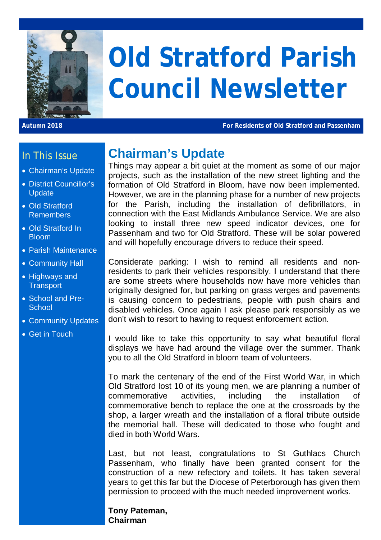

# **Old Stratford Parish Council Newsletter**

**Autumn 2018 For Residents of Old Stratford and Passenham**

#### In This Issue

- Chairman's Update
- District Councillor's **Update**
- Old Stratford Remembers
- Old Stratford In Bloom
- Parish Maintenance
- Community Hall
- Highways and **Transport**
- School and Pre-**School**
- Community Updates
- Get in Touch

# **Chairman's Update**

Things may appear a bit quiet at the moment as some of our major projects, such as the installation of the new street lighting and the formation of Old Stratford in Bloom, have now been implemented. However, we are in the planning phase for a number of new projects for the Parish, including the installation of defibrillators, in connection with the East Midlands Ambulance Service. We are also looking to install three new speed indicator devices, one for Passenham and two for Old Stratford. These will be solar powered and will hopefully encourage drivers to reduce their speed.

Considerate parking: I wish to remind all residents and nonresidents to park their vehicles responsibly. I understand that there are some streets where households now have more vehicles than originally designed for, but parking on grass verges and pavements is causing concern to pedestrians, people with push chairs and disabled vehicles. Once again I ask please park responsibly as we don't wish to resort to having to request enforcement action.

I would like to take this opportunity to say what beautiful floral displays we have had around the village over the summer. Thank you to all the Old Stratford in bloom team of volunteers.

To mark the centenary of the end of the First World War, in which Old Stratford lost 10 of its young men, we are planning a number of commemorative activities, including the installation of commemorative bench to replace the one at the crossroads by the shop, a larger wreath and the installation of a floral tribute outside the memorial hall. These will dedicated to those who fought and died in both World Wars.

Last, but not least, congratulations to St Guthlacs Church Passenham, who finally have been granted consent for the construction of a new refectory and toilets. It has taken several years to get this far but the Diocese of Peterborough has given them permission to proceed with the much needed improvement works.

**Tony Pateman, Chairman**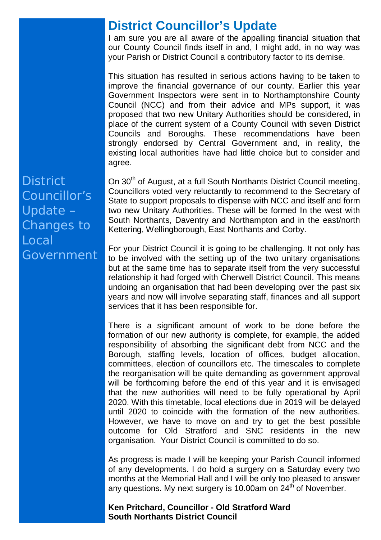## **District Councillor's Update**

I am sure you are all aware of the appalling financial situation that our County Council finds itself in and, I might add, in no way was your Parish or District Council a contributory factor to its demise.

This situation has resulted in serious actions having to be taken to improve the financial governance of our county. Earlier this year Government Inspectors were sent in to Northamptonshire County Council (NCC) and from their advice and MPs support, it was proposed that two new Unitary Authorities should be considered, in place of the current system of a County Council with seven District Councils and Boroughs. These recommendations have been strongly endorsed by Central Government and, in reality, the existing local authorities have had little choice but to consider and agree.

On 30<sup>th</sup> of August, at a full South Northants District Council meeting, Councillors voted very reluctantly to recommend to the Secretary of State to support proposals to dispense with NCC and itself and form two new Unitary Authorities. These will be formed In the west with South Northants, Daventry and Northampton and in the east/north Kettering, Wellingborough, East Northants and Corby.

For your District Council it is going to be challenging. It not only has to be involved with the setting up of the two unitary organisations but at the same time has to separate itself from the very successful relationship it had forged with Cherwell District Council. This means undoing an organisation that had been developing over the past six years and now will involve separating staff, finances and all support services that it has been responsible for.

There is a significant amount of work to be done before the formation of our new authority is complete, for example, the added responsibility of absorbing the significant debt from NCC and the Borough, staffing levels, location of offices, budget allocation, committees, election of councillors etc. The timescales to complete the reorganisation will be quite demanding as government approval will be forthcoming before the end of this year and it is envisaged that the new authorities will need to be fully operational by April 2020. With this timetable, local elections due in 2019 will be delayed until 2020 to coincide with the formation of the new authorities. However, we have to move on and try to get the best possible outcome for Old Stratford and SNC residents in the new organisation. Your District Council is committed to do so.

As progress is made I will be keeping your Parish Council informed of any developments. I do hold a surgery on a Saturday every two months at the Memorial Hall and I will be only too pleased to answer any questions. My next surgery is 10.00am on  $24<sup>th</sup>$  of November.

**Ken Pritchard, Councillor - Old Stratford Ward South Northants District Council**

**District** Councillor's Update – Changes to Local Government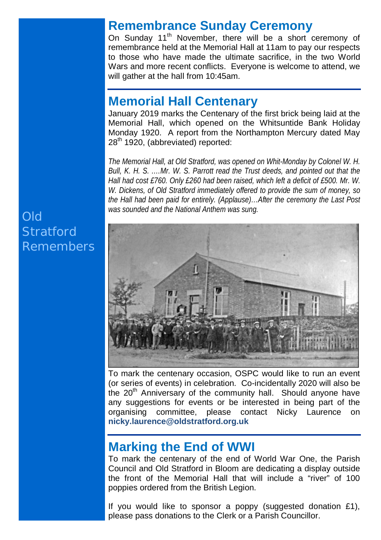### **Remembrance Sunday Ceremony**

On Sunday 11<sup>th</sup> November, there will be a short ceremony of remembrance held at the Memorial Hall at 11am to pay our respects to those who have made the ultimate sacrifice, in the two World Wars and more recent conflicts. Everyone is welcome to attend, we will gather at the hall from 10:45am.

### **Memorial Hall Centenary**

January 2019 marks the Centenary of the first brick being laid at the Memorial Hall, which opened on the Whitsuntide Bank Holiday Monday 1920. A report from the Northampton Mercury dated May 28<sup>th</sup> 1920, (abbreviated) reported:

*The Memorial Hall, at Old Stratford, was opened on Whit-Monday by Colonel W. H. Bull, K. H. S. .…Mr. W. S. Parrott read the Trust deeds, and pointed out that the Hall had cost £760. Only £260 had been raised, which left a deficit of £500. Mr. W. W. Dickens, of Old Stratford immediately offered to provide the sum of money, so the Hall had been paid for entirely. (Applause)…After the ceremony the Last Post was sounded and the National Anthem was sung.*



To mark the centenary occasion, OSPC would like to run an event (or series of events) in celebration. Co-incidentally 2020 will also be the 20<sup>th</sup> Anniversary of the community hall. Should anyone have any suggestions for events or be interested in being part of the organising committee, please contact Nicky Laurence on **nicky.laurence@oldstratford.org.uk**

# **Marking the End of WWI**

To mark the centenary of the end of World War One, the Parish Council and Old Stratford in Bloom are dedicating a display outside the front of the Memorial Hall that will include a "river" of 100 poppies ordered from the British Legion.

If you would like to sponsor a poppy (suggested donation £1), please pass donations to the Clerk or a Parish Councillor.

# Old **Stratford** Remembers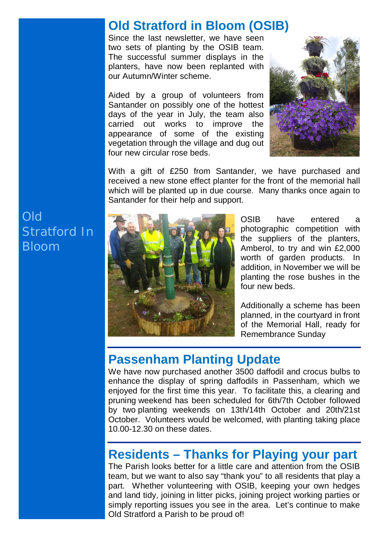# **Old Stratford in Bloom (OSIB)**

Since the last newsletter, we have seen two sets of planting by the OSIB team. The successful summer displays in the planters, have now been replanted with our Autumn/Winter scheme.

Aided by a group of volunteers from Santander on possibly one of the hottest days of the year in July, the team also carried out works to improve the appearance of some of the existing vegetation through the village and dug out four new circular rose beds.



With a gift of £250 from Santander, we have purchased and received a new stone effect planter for the front of the memorial hall which will be planted up in due course. Many thanks once again to Santander for their help and support.



OSIB have entered a photographic competition with the suppliers of the planters, Amberol, to try and win £2,000 worth of garden products. In addition, in November we will be planting the rose bushes in the four new beds.

Additionally a scheme has been planned, in the courtyard in front of the Memorial Hall, ready for Remembrance Sunday

### **Passenham Planting Update**

We have now purchased another 3500 daffodil and crocus bulbs to enhance the display of spring daffodils in Passenham, which we enjoyed for the first time this year. To facilitate this, a clearing and pruning weekend has been scheduled for 6th/7th October followed by two planting weekends on 13th/14th October and 20th/21st October. Volunteers would be welcomed, with planting taking place 10.00-12.30 on these dates.

## **Residents – Thanks for Playing your part**

The Parish looks better for a little care and attention from the OSIB team, but we want to also say "thank you" to all residents that play a part. Whether volunteering with OSIB, keeping your own hedges and land tidy, joining in litter picks, joining project working parties or simply reporting issues you see in the area. Let's continue to make Old Stratford a Parish to be proud of!

Old Stratford In Bloom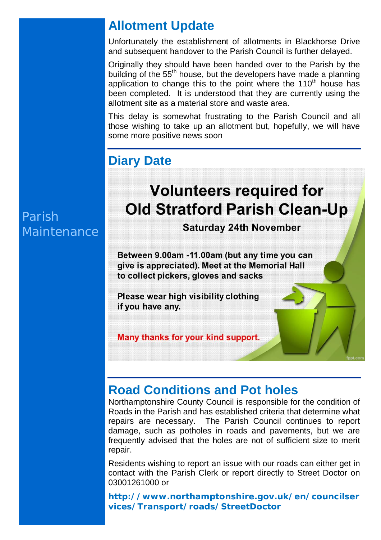# **Allotment Update**

Unfortunately the establishment of allotments in Blackhorse Drive and subsequent handover to the Parish Council is further delayed.

Originally they should have been handed over to the Parish by the building of the 55<sup>th</sup> house, but the developers have made a planning application to change this to the point where the  $110<sup>th</sup>$  house has been completed. It is understood that they are currently using the allotment site as a material store and waste area.

This delay is somewhat frustrating to the Parish Council and all those wishing to take up an allotment but, hopefully, we will have some more positive news soon

# **Diary Date**

# Parish Maintenance

# **Volunteers required for Old Stratford Parish Clean-Up**

**Saturday 24th November** 

Between 9.00am -11.00am (but any time you can give is appreciated). Meet at the Memorial Hall to collect pickers, gloves and sacks

Please wear high visibility clothing if you have any.

Many thanks for your kind support.

# **Road Conditions and Pot holes**

Northamptonshire County Council is responsible for the condition of Roads in the Parish and has established criteria that determine what repairs are necessary. The Parish Council continues to report damage, such as potholes in roads and pavements, but we are frequently advised that the holes are not of sufficient size to merit repair.

Residents wishing to report an issue with our roads can either get in contact with the Parish Clerk or report directly to Street Doctor on 03001261000 or

**http://www.northamptonshire.gov.uk/en/councilser vices/Transport/roads/StreetDoctor**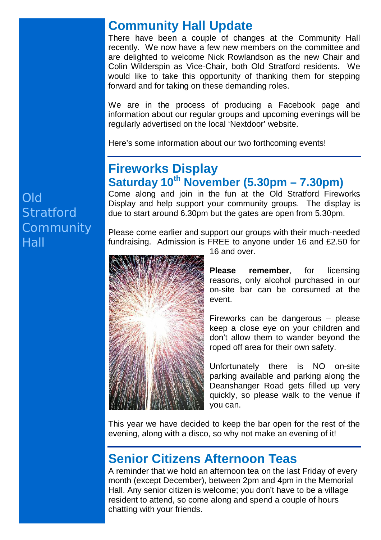### **Community Hall Update**

There have been a couple of changes at the Community Hall recently. We now have a few new members on the committee and are delighted to welcome Nick Rowlandson as the new Chair and Colin Wilderspin as Vice-Chair, both Old Stratford residents. We would like to take this opportunity of thanking them for stepping forward and for taking on these demanding roles.

We are in the process of producing a Facebook page and information about our regular groups and upcoming evenings will be regularly advertised on the local 'Nextdoor' website.

Here's some information about our two forthcoming events!

# **Fireworks Display Saturday 10th November (5.30pm – 7.30pm)**

Come along and join in the fun at the Old Stratford Fireworks Display and help support your community groups. The display is due to start around 6.30pm but the gates are open from 5.30pm.

Please come earlier and support our groups with their much-needed fundraising. Admission is FREE to anyone under 16 and £2.50 for



16 and over.

**Please remember**, for licensing reasons, only alcohol purchased in our on-site bar can be consumed at the event.

Fireworks can be dangerous – please keep a close eye on your children and don't allow them to wander beyond the roped off area for their own safety.

Unfortunately there is NO on-site parking available and parking along the Deanshanger Road gets filled up very quickly, so please walk to the venue if you can.

This year we have decided to keep the bar open for the rest of the evening, along with a disco, so why not make an evening of it!

# **Senior Citizens Afternoon Teas**

A reminder that we hold an afternoon tea on the last Friday of every month (except December), between 2pm and 4pm in the Memorial Hall. Any senior citizen is welcome; you don't have to be a village resident to attend, so come along and spend a couple of hours chatting with your friends.

Old **Stratford Community** Hall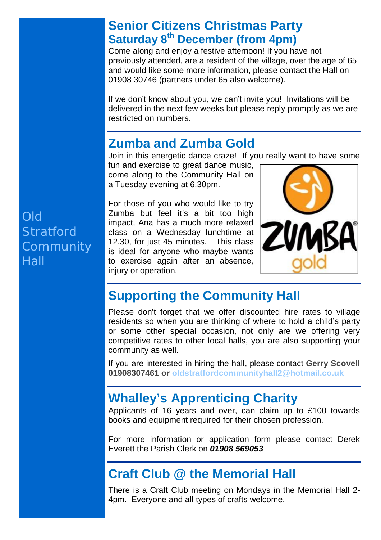# **Senior Citizens Christmas Party Saturday 8th December (from 4pm)**

Come along and enjoy a festive afternoon! If you have not previously attended, are a resident of the village, over the age of 65 and would like some more information, please contact the Hall on 01908 30746 (partners under 65 also welcome).

If we don't know about you, we can't invite you! Invitations will be delivered in the next few weeks but please reply promptly as we are restricted on numbers.

# **Zumba and Zumba Gold**

Join in this energetic dance craze! If you really want to have some

fun and exercise to great dance music. come along to the Community Hall on a Tuesday evening at 6.30pm.

Old **Stratford Community Hall** 

For those of you who would like to try Zumba but feel it's a bit too high impact, Ana has a much more relaxed class on a Wednesday lunchtime at 12.30, for just 45 minutes. This class is ideal for anyone who maybe wants to exercise again after an absence, injury or operation.



# **Supporting the Community Hall**

Please don't forget that we offer discounted hire rates to village residents so when you are thinking of where to hold a child's party or some other special occasion, not only are we offering very competitive rates to other local halls, you are also supporting your community as well.

If you are interested in hiring the hall, please contact **Gerry Scovell 01908307461 or oldstratfordcommunityhall2@hotmail.co.uk**

# **Whalley's Apprenticing Charity**

Applicants of 16 years and over, can claim up to £100 towards books and equipment required for their chosen profession.

For more information or application form please contact Derek Everett the Parish Clerk on *01908 569053*

# **Craft Club @ the Memorial Hall**

There is a Craft Club meeting on Mondays in the Memorial Hall 2- 4pm. Everyone and all types of crafts welcome.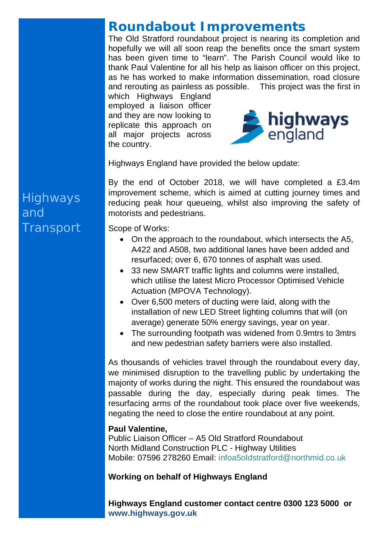# **Roundabout Improvements**

The Old Stratford roundabout project is nearing its completion and hopefully we will all soon reap the benefits once the smart system has been given time to "learn". The Parish Council would like to thank Paul Valentine for all his help as liaison officer on this project, as he has worked to make information dissemination, road closure and rerouting as painless as possible. This project was the first in

which Highways England employed a liaison officer and they are now looking to replicate this approach on all major projects across the country.



Highways England have provided the below update:

By the end of October 2018, we will have completed a £3.4m improvement scheme, which is aimed at cutting journey times and reducing peak hour queueing, whilst also improving the safety of motorists and pedestrians.

Scope of Works:

- On the approach to the roundabout, which intersects the A5, A422 and A508, two additional lanes have been added and resurfaced; over 6, 670 tonnes of asphalt was used.
- 33 new SMART traffic lights and columns were installed, which utilise the latest Micro Processor Optimised Vehicle Actuation (MPOVA Technology).
- Over 6,500 meters of ducting were laid, along with the installation of new LED Street lighting columns that will (on average) generate 50% energy savings, year on year.
- The surrounding footpath was widened from 0.9mtrs to 3mtrs and new pedestrian safety barriers were also installed.

As thousands of vehicles travel through the roundabout every day, we minimised disruption to the travelling public by undertaking the majority of works during the night. This ensured the roundabout was passable during the day, especially during peak times. The resurfacing arms of the roundabout took place over five weekends, negating the need to close the entire roundabout at any point.

#### **Paul Valentine,**

Public Liaison Officer – A5 Old Stratford Roundabout North Midland Construction PLC - Highway Utilities Mobile: 07596 278260 Email: infoa5oldstratford@northmid.co.uk

#### **Working on behalf of Highways England**

**Highways England customer contact centre 0300 123 5000 or www.highways.gov.uk**

# **Highways** and **Transport**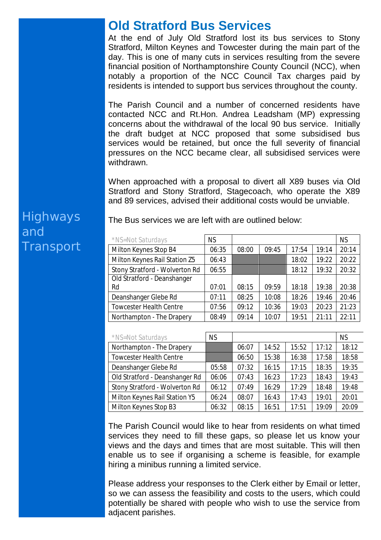### **Old Stratford Bus Services**

At the end of July Old Stratford lost its bus services to Stony Stratford, Milton Keynes and Towcester during the main part of the day. This is one of many cuts in services resulting from the severe financial position of Northamptonshire County Council (NCC), when notably a proportion of the NCC Council Tax charges paid by residents is intended to support bus services throughout the county.

The Parish Council and a number of concerned residents have contacted NCC and Rt.Hon. Andrea Leadsham (MP) expressing concerns about the withdrawal of the local 90 bus service. Initially the draft budget at NCC proposed that some subsidised bus services would be retained, but once the full severity of financial pressures on the NCC became clear, all subsidised services were withdrawn.

When approached with a proposal to divert all X89 buses via Old Stratford and Stony Stratford, Stagecoach, who operate the X89 and 89 services, advised their additional costs would be unviable.

| *NS=Not Saturdays              | <b>NS</b> |       |       |       |       | <b>NS</b> |
|--------------------------------|-----------|-------|-------|-------|-------|-----------|
| Milton Keynes Stop B4          | 06:35     | 08:00 | 09:45 | 17:54 | 19:14 | 20:14     |
| Milton Keynes Rail Station Z5  | 06:43     |       |       | 18:02 | 19:22 | 20:22     |
| Stony Stratford - Wolverton Rd | 06:55     |       |       | 18:12 | 19:32 | 20:32     |
| Old Stratford - Deanshanger    |           |       |       |       |       |           |
| Rd                             | 07:01     | 08:15 | 09:59 | 18:18 | 19:38 | 20:38     |
| Deanshanger Glebe Rd           | 07:11     | 08:25 | 10:08 | 18:26 | 19:46 | 20:46     |
| <b>Towcester Health Centre</b> | 07:56     | 09:12 | 10:36 | 19:03 | 20:23 | 21:23     |
| Northampton - The Drapery      | 08:49     | 09:14 | 10:07 | 19:51 | 21:11 | 22:11     |

The Bus services we are left with are outlined below:

| *NS=Not Saturdays              | <b>NS</b> |       |       |       |       | <b>NS</b> |
|--------------------------------|-----------|-------|-------|-------|-------|-----------|
| Northampton - The Drapery      |           | 06:07 | 14:52 | 15:52 | 17:12 | 18:12     |
| <b>Towcester Health Centre</b> |           | 06:50 | 15:38 | 16:38 | 17:58 | 18:58     |
| Deanshanger Glebe Rd           | 05:58     | 07:32 | 16:15 | 17:15 | 18:35 | 19:35     |
| Old Stratford - Deanshanger Rd | 06:06     | 07:43 | 16:23 | 17:23 | 18:43 | 19:43     |
| Stony Stratford - Wolverton Rd | 06:12     | 07:49 | 16:29 | 17:29 | 18:48 | 19:48     |
| Milton Keynes Rail Station Y5  | 06:24     | 08:07 | 16:43 | 17:43 | 19:01 | 20:01     |
| Milton Keynes Stop B3          | 06:32     | 08:15 | 16:51 | 17:51 | 19:09 | 20:09     |

The Parish Council would like to hear from residents on what timed services they need to fill these gaps, so please let us know your views and the days and times that are most suitable. This will then enable us to see if organising a scheme is feasible, for example hiring a minibus running a limited service.

Please address your responses to the Clerk either by Email or letter, so we can assess the feasibility and costs to the users, which could potentially be shared with people who wish to use the service from adjacent parishes.

# Highways and **Transport**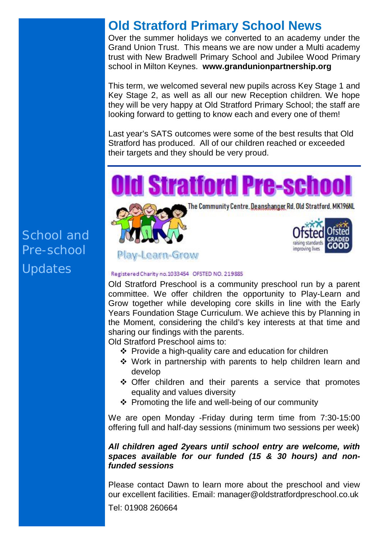# **Old Stratford Primary School News**

Over the summer holidays we converted to an academy under the Grand Union Trust. This means we are now under a Multi academy trust with New Bradwell Primary School and Jubilee Wood Primary school in Milton Keynes. **www.grandunionpartnership.org**

This term, we welcomed several new pupils across Key Stage 1 and Key Stage 2, as well as all our new Reception children. We hope they will be very happy at Old Stratford Primary School; the staff are looking forward to getting to know each and every one of them!

Last year's SATS outcomes were some of the best results that Old Stratford has produced. All of our children reached or exceeded their targets and they should be very proud.



#### Play-Learn-Grow

#### Registered Charity no.1033454 OFSTED NO. 219885

Old Stratford Preschool is a community preschool run by a parent committee. We offer children the opportunity to Play-Learn and Grow together while developing core skills in line with the Early Years Foundation Stage Curriculum. We achieve this by Planning in the Moment, considering the child's key interests at that time and sharing our findings with the parents.

Old Stratford Preschool aims to:

- $\cdot$  Provide a high-quality care and education for children
- Work in partnership with parents to help children learn and develop
- Offer children and their parents a service that promotes equality and values diversity
- Promoting the life and well-being of our community

We are open Monday -Friday during term time from 7:30-15:00 offering full and half-day sessions (minimum two sessions per week)

#### *All children aged 2years until school entry are welcome, with spaces available for our funded (15 & 30 hours) and nonfunded sessions*

Please contact Dawn to learn more about the preschool and view our excellent facilities. Email: manager@oldstratfordpreschool.co.uk

Tel: 01908 260664

School and Pre-school Updates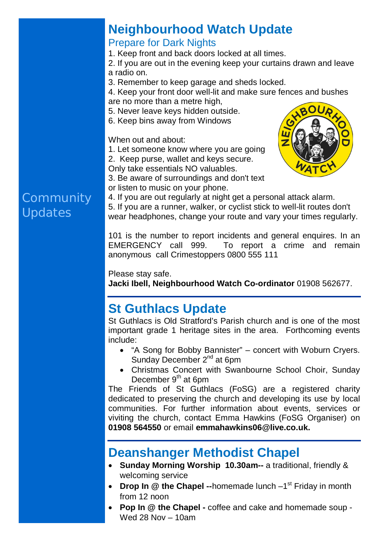# **Neighbourhood Watch Update**

#### Prepare for Dark Nights

1. Keep front and back doors locked at all times.

2. If you are out in the evening keep your curtains drawn and leave a radio on.

3. Remember to keep garage and sheds locked.

4. Keep your front door well-lit and make sure fences and bushes are no more than a metre high,

- 5. Never leave keys hidden outside.
- 6. Keep bins away from Windows

When out and about:

1. Let someone know where you are going

2. Keep purse, wallet and keys secure. Only take essentials NO valuables.



3. Be aware of surroundings and don't text or listen to music on your phone.

4. If you are out regularly at night get a personal attack alarm.

5. If you are a runner, walker, or cyclist stick to well-lit routes don't wear headphones, change your route and vary your times regularly.

101 is the number to report incidents and general enquires. In an EMERGENCY call 999. To report a crime and remain anonymous call Crimestoppers 0800 555 111

Please stay safe.

**Jacki Ibell, Neighbourhood Watch Co-ordinator** 01908 562677.

# **St Guthlacs Update**

St Guthlacs is Old Stratford's Parish church and is one of the most important grade 1 heritage sites in the area. Forthcoming events include:

- "A Song for Bobby Bannister" concert with Woburn Cryers. Sunday December 2<sup>nd</sup> at 6pm
- Christmas Concert with Swanbourne School Choir, Sunday December  $9<sup>th</sup>$  at 6pm

The Friends of St Guthlacs (FoSG) are a registered charity dedicated to preserving the church and developing its use by local communities. For further information about events, services or viviting the church, contact Emma Hawkins (FoSG Organiser) on **01908 564550** or email **emmahawkins06@live.co.uk.**

# **Deanshanger Methodist Chapel**

- **Sunday Morning Worship 10.30am--** a traditional, friendly & welcoming service
- Drop In @ the Chapel --homemade lunch -1<sup>st</sup> Friday in month from 12 noon
- **Pop In @ the Chapel -** coffee and cake and homemade soup Wed 28 Nov – 10am

# **Community** Updates